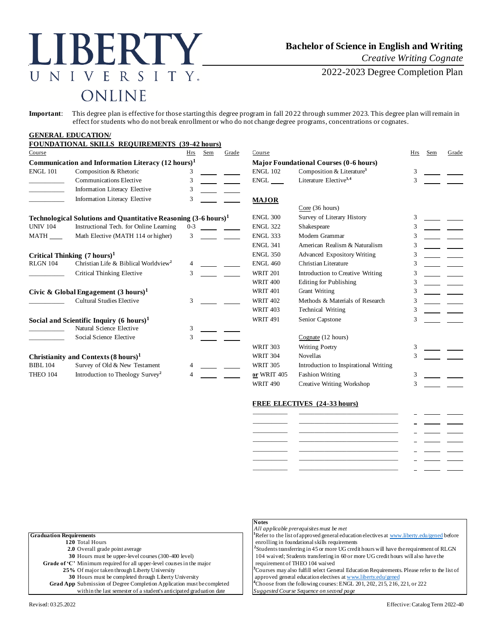# BERTY NIVERSITY. ONLINE

## **Bachelor of Science in English and Writing**

*Creative Writing Cognate*

2022-2023 Degree Completion Plan

**Important**: This degree plan is effective for those starting this degree program in fall 2022 through summer 2023. This degree plan will remain in effect for students who do not break enrollment or who do not change degree programs, concentrations or cognates.

### **GENERAL EDUCATION/ FOUNDATIONAL SKILLS REQUIREMENTS (39-42 hours)** Course Hrs Sem Grade Course Hrs Sem Grade **Communication and Information Literacy**  $(12 \text{ hours})^1$ ENGL 101 Composition & Rhetoric 3 \_\_\_\_\_\_\_\_\_\_\_ Communications Elective 3 ENGL Literature Elective**3,4** 3 \_\_\_\_\_\_\_\_\_\_\_ Information Literacy Elective 3 Information Literacy Elective 3 **Technological Solutions and Quantitative Reasoning**  $(3-6 \text{ hours})^1$ UNIV 104 Instructional Tech. for Online Learning 0-3 MATH Math Elective (MATH 114 or higher) 3 **Critical Thinking**  $(7 \text{ hours})^1$ RLGN 104 Christian Life & Biblical Worldview**<sup>2</sup>** \_\_\_\_\_\_\_\_\_\_\_ Critical Thinking Elective 3 WRIT 201 Introduction to Creative Writing 3 **Civic & Global Engagement**  $(3 \text{ hours})^1$ \_\_\_\_\_\_\_\_\_\_\_ Cultural Studies Elective 3 WRIT 402 Methods & Materials of Research 3 **Social and Scientific Inquiry**  $(6 \text{ hours})^1$ Natural Science Elective 3 Social Science Elective 3 **Christianity and Contexts (8 hours)<sup>1</sup>** BIBL 104 Survey of Old & New Testament 4 THEO 104 Introduction to Theology Survey**<sup>2</sup>**

| [rs  | Sem                     | Grade | Course          |                                               | Hrs | Sem | Grade |
|------|-------------------------|-------|-----------------|-----------------------------------------------|-----|-----|-------|
| 51   |                         |       |                 | <b>Major Foundational Courses (0-6 hours)</b> |     |     |       |
| 3    |                         |       | <b>ENGL 102</b> | Composition & Literature <sup>3</sup>         | 3   |     |       |
| 3    |                         |       | ENGL            | Literature Elective <sup>3,4</sup>            | 3   |     |       |
| 3    |                         |       |                 |                                               |     |     |       |
| 3    |                         |       | <b>MAJOR</b>    |                                               |     |     |       |
|      |                         |       |                 | Core (36 hours)                               |     |     |       |
|      | $(3-6 \text{ hours})^1$ |       | <b>ENGL 300</b> | Survey of Literary History                    | 3   |     |       |
| $-3$ |                         |       | <b>ENGL 322</b> | Shakespeare                                   | 3   |     |       |
| 3    |                         |       | <b>ENGL 333</b> | Modern Grammar                                | 3   |     |       |
|      |                         |       | <b>ENGL 341</b> | American Realism & Naturalism                 | 3   |     |       |
|      |                         |       | <b>ENGL 350</b> | <b>Advanced Expository Writing</b>            | 3   |     |       |
| 4    |                         |       | <b>ENGL 460</b> | Christian Literature                          | 3   |     |       |
| 3    |                         |       | <b>WRIT 201</b> | Introduction to Creative Writing              | 3   |     |       |
|      |                         |       | <b>WRIT 400</b> | <b>Editing for Publishing</b>                 | 3   |     |       |
|      |                         |       | <b>WRIT 401</b> | <b>Grant Writing</b>                          | 3   |     |       |
| 3    |                         |       | <b>WRIT 402</b> | Methods & Materials of Research               | 3   |     |       |
|      |                         |       | <b>WRIT 403</b> | <b>Technical Writing</b>                      | 3   |     |       |
|      |                         |       | <b>WRIT 491</b> | Senior Capstone                               | 3   |     |       |
| 3    |                         |       |                 |                                               |     |     |       |
| 3    |                         |       |                 | Cognate (12 hours)                            |     |     |       |
|      |                         |       | <b>WRIT 303</b> | <b>Writing Poetry</b>                         | 3   |     |       |
|      |                         |       | <b>WRIT 304</b> | <b>Novellas</b>                               | 3   |     |       |
|      |                         |       | <b>WRIT 305</b> | Introduction to Inspirational Writing         |     |     |       |
|      |                         |       | or WRIT 405     | <b>Fashion Writing</b>                        | 3   |     |       |
|      |                         |       | <b>WRIT 490</b> | Creative Writing Workshop                     | 3   |     |       |

| _________ |  |  |
|-----------|--|--|
| _________ |  |  |
| ________  |  |  |
|           |  |  |
|           |  |  |
|           |  |  |

|                                                                               | <b>Notes</b>                                                                                             |  |  |
|-------------------------------------------------------------------------------|----------------------------------------------------------------------------------------------------------|--|--|
|                                                                               | All applicable prerequisites must be met                                                                 |  |  |
| <b>Graduation Requirements</b>                                                | <sup>1</sup> Refer to the list of approved general education electives at www.liberty.edu/gened before   |  |  |
| 120 Total Hours                                                               | enrolling in foundational skills requirements                                                            |  |  |
| 2.0 Overall grade point average                                               | <sup>2</sup> Students transferring in 45 or more UG credit hours will have the requirement of RLGN       |  |  |
| 30 Hours must be upper-level courses (300-400 level)                          | 104 waived; Students transferring in 60 or more UG credit hours will also have the                       |  |  |
| Grade of 'C' Minimum required for all upper-level courses in the major        | requirement of THEO 104 waived                                                                           |  |  |
| 25% Of major taken through Liberty University                                 | <sup>3</sup> Courses may also fulfill select General Education Requirements. Please refer to the list of |  |  |
| 30 Hours must be completed through Liberty University                         | approved general education electives at www.liberty.edu/gened                                            |  |  |
| <b>Grad App</b> Submission of Degree Completion Application must be completed | <sup>4</sup> Choose from the following courses: ENGL 201, 202, 215, 216, 221, or 222                     |  |  |
| within the last semester of a student's anticipated graduation date           | Suggested Course Sequence on second page                                                                 |  |  |